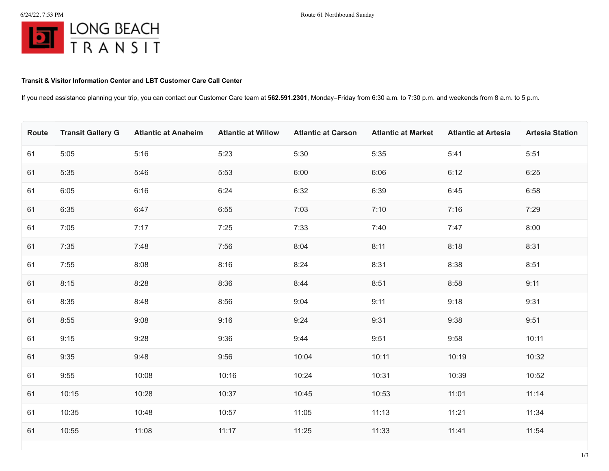## **Transit & Visitor Information Center and LBT Customer Care Call Center**

If you need assistance planning your trip, you can contact our Customer Care team at **562.591.2301**, Monday–Friday from 6:30 a.m. to 7:30 p.m. and weekends from 8 a.m. to 5 p.m.

| Route | <b>Transit Gallery G</b> | <b>Atlantic at Anaheim</b> | <b>Atlantic at Willow</b> | <b>Atlantic at Carson</b> | <b>Atlantic at Market</b> | <b>Atlantic at Artesia</b> | <b>Artesia Station</b> |
|-------|--------------------------|----------------------------|---------------------------|---------------------------|---------------------------|----------------------------|------------------------|
| 61    | 5:05                     | 5:16                       | 5:23                      | 5:30                      | 5:35                      | 5:41                       | 5:51                   |
| 61    | 5:35                     | 5:46                       | 5:53                      | 6:00                      | 6:06                      | 6:12                       | 6:25                   |
| 61    | 6:05                     | 6:16                       | 6:24                      | 6:32                      | 6:39                      | 6:45                       | 6:58                   |
| 61    | 6:35                     | 6:47                       | 6:55                      | 7:03                      | 7:10                      | 7:16                       | 7:29                   |
| 61    | 7:05                     | 7:17                       | 7:25                      | 7:33                      | 7:40                      | 7:47                       | 8:00                   |
| 61    | 7:35                     | 7:48                       | 7:56                      | 8:04                      | 8:11                      | 8:18                       | 8:31                   |
| 61    | 7:55                     | 8:08                       | 8:16                      | 8:24                      | 8:31                      | 8:38                       | 8:51                   |
| 61    | 8:15                     | 8:28                       | 8:36                      | 8:44                      | 8:51                      | 8:58                       | 9:11                   |
| 61    | 8:35                     | 8:48                       | 8:56                      | 9:04                      | 9:11                      | 9:18                       | 9:31                   |
| 61    | 8:55                     | 9:08                       | 9:16                      | 9:24                      | 9:31                      | 9:38                       | 9:51                   |
| 61    | 9:15                     | 9:28                       | 9:36                      | 9:44                      | 9:51                      | 9:58                       | 10:11                  |
| 61    | 9:35                     | 9:48                       | 9:56                      | 10:04                     | 10:11                     | 10:19                      | 10:32                  |
| 61    | 9:55                     | 10:08                      | 10:16                     | 10:24                     | 10:31                     | 10:39                      | 10:52                  |
| 61    | 10:15                    | 10:28                      | 10:37                     | 10:45                     | 10:53                     | 11:01                      | 11:14                  |
| 61    | 10:35                    | 10:48                      | 10:57                     | 11:05                     | 11:13                     | 11:21                      | 11:34                  |
| 61    | 10:55                    | 11:08                      | 11:17                     | 11:25                     | 11:33                     | 11:41                      | 11:54                  |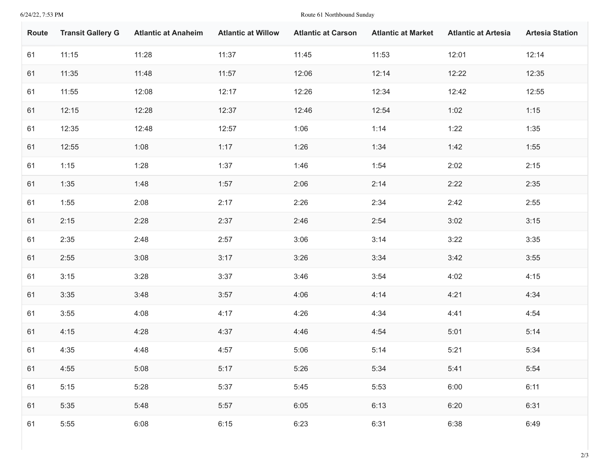6/24/22, 7:53 PM Route 61 Northbound Sunday

| Route | <b>Transit Gallery G</b> | <b>Atlantic at Anaheim</b> | <b>Atlantic at Willow</b> | <b>Atlantic at Carson</b> | <b>Atlantic at Market</b> | <b>Atlantic at Artesia</b> | <b>Artesia Station</b> |
|-------|--------------------------|----------------------------|---------------------------|---------------------------|---------------------------|----------------------------|------------------------|
| 61    | 11:15                    | 11:28                      | 11:37                     | 11:45                     | 11:53                     | 12:01                      | 12:14                  |
| 61    | 11:35                    | 11:48                      | 11:57                     | 12:06                     | 12:14                     | 12:22                      | 12:35                  |
| 61    | 11:55                    | 12:08                      | 12:17                     | 12:26                     | 12:34                     | 12:42                      | 12:55                  |
| 61    | 12:15                    | 12:28                      | 12:37                     | 12:46                     | 12:54                     | 1:02                       | 1:15                   |
| 61    | 12:35                    | 12:48                      | 12:57                     | 1:06                      | 1:14                      | 1:22                       | 1:35                   |
| 61    | 12:55                    | 1:08                       | 1:17                      | 1:26                      | 1:34                      | 1:42                       | 1:55                   |
| 61    | 1:15                     | 1:28                       | 1:37                      | 1:46                      | 1:54                      | 2:02                       | 2:15                   |
| 61    | 1:35                     | 1:48                       | 1:57                      | 2:06                      | 2:14                      | 2:22                       | 2:35                   |
| 61    | 1:55                     | 2:08                       | 2:17                      | 2:26                      | 2:34                      | 2:42                       | 2:55                   |
| 61    | 2:15                     | 2:28                       | 2:37                      | 2:46                      | 2:54                      | 3:02                       | 3:15                   |
| 61    | 2:35                     | 2:48                       | 2:57                      | 3:06                      | 3:14                      | 3:22                       | 3:35                   |
| 61    | 2:55                     | 3:08                       | 3:17                      | 3:26                      | 3:34                      | 3:42                       | 3:55                   |
| 61    | 3:15                     | 3:28                       | 3:37                      | 3:46                      | 3:54                      | 4:02                       | 4:15                   |
| 61    | 3:35                     | 3:48                       | 3:57                      | 4:06                      | 4:14                      | 4:21                       | 4:34                   |
| 61    | 3:55                     | 4:08                       | 4:17                      | 4:26                      | 4:34                      | 4:41                       | 4:54                   |
| 61    | 4:15                     | 4:28                       | 4:37                      | 4:46                      | 4:54                      | 5:01                       | 5:14                   |
| 61    | 4:35                     | 4:48                       | 4:57                      | 5:06                      | 5:14                      | 5:21                       | 5:34                   |
| 61    | 4:55                     | 5:08                       | 5:17                      | 5:26                      | 5:34                      | 5:41                       | 5:54                   |
| 61    | 5:15                     | 5:28                       | 5:37                      | 5:45                      | 5:53                      | 6:00                       | 6:11                   |
| 61    | 5:35                     | 5:48                       | 5:57                      | 6:05                      | 6:13                      | 6:20                       | 6:31                   |
| 61    | 5:55                     | 6:08                       | 6:15                      | 6:23                      | 6:31                      | 6:38                       | 6:49                   |